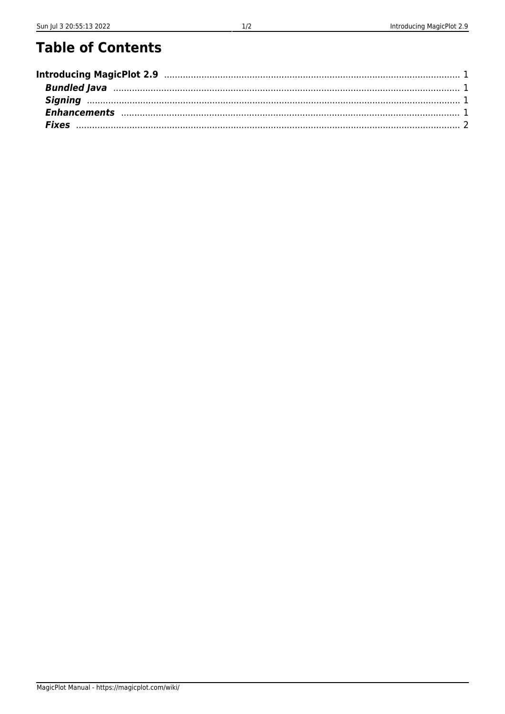## **Table of Contents**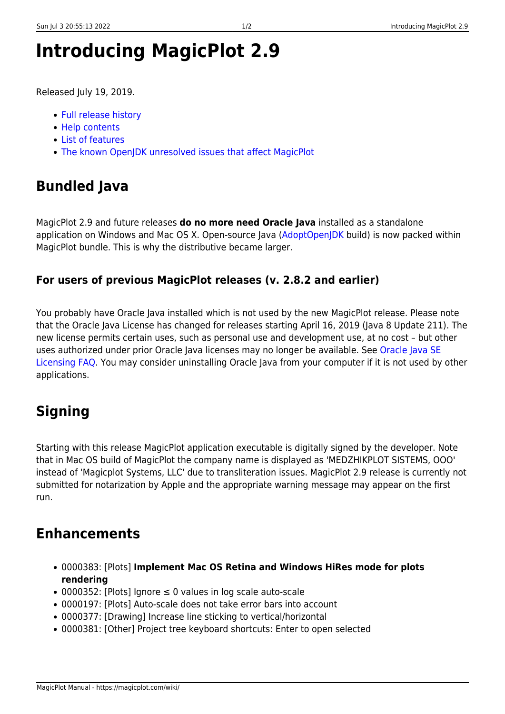# <span id="page-2-0"></span>**Introducing MagicPlot 2.9**

Released July 19, 2019.

- [Full release history](https://magicplot.com/wiki/release_notes)
- [Help contents](https://magicplot.com/wiki/magicplot_wiki_home)
- [List of features](https://magicplot.com/wiki/comparison)
- [The known OpenJDK unresolved issues that affect MagicPlot](https://magicplot.com/wiki/relnotes:external)

## <span id="page-2-1"></span>**Bundled Java**

MagicPlot 2.9 and future releases **do no more need Oracle Java** installed as a standalone application on Windows and Mac OS X. Open-source Java ([AdoptOpenJDK](https://adoptopenjdk.net) build) is now packed within MagicPlot bundle. This is why the distributive became larger.

#### **For users of previous MagicPlot releases (v. 2.8.2 and earlier)**

You probably have Oracle Java installed which is not used by the new MagicPlot release. Please note that the Oracle Java License has changed for releases starting April 16, 2019 (Java 8 Update 211). The new license permits certain uses, such as personal use and development use, at no cost – but other uses authorized under prior Oracle Java licenses may no longer be available. See [Oracle Java SE](https://www.oracle.com/technetwork/java/javase/overview/oracle-jdk-faqs.html) [Licensing FAQ](https://www.oracle.com/technetwork/java/javase/overview/oracle-jdk-faqs.html). You may consider uninstalling Oracle Java from your computer if it is not used by other applications.

## <span id="page-2-2"></span>**Signing**

Starting with this release MagicPlot application executable is digitally signed by the developer. Note that in Mac OS build of MagicPlot the company name is displayed as 'MEDZHIKPLOT SISTEMS, OOO' instead of 'Magicplot Systems, LLC' due to transliteration issues. MagicPlot 2.9 release is currently not submitted for notarization by Apple and the appropriate warning message may appear on the first run.

### <span id="page-2-3"></span>**Enhancements**

- 0000383: [Plots] **Implement Mac OS Retina and Windows HiRes mode for plots rendering**
- 0000352: [Plots] Ignore ≤ 0 values in log scale auto-scale
- 0000197: [Plots] Auto-scale does not take error bars into account
- 0000377: [Drawing] Increase line sticking to vertical/horizontal
- 0000381: [Other] Project tree keyboard shortcuts: Enter to open selected